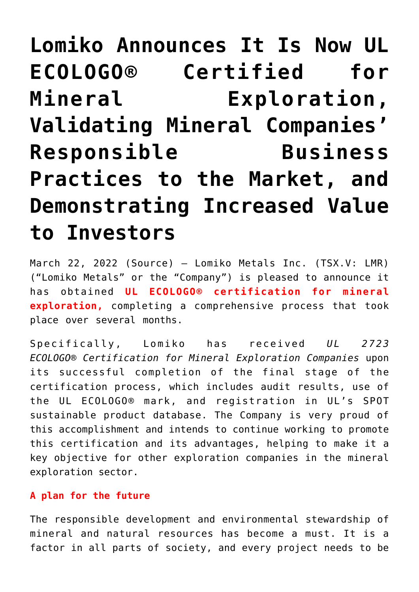# **[Lomiko Announces It Is Now UL](https://investorintel.com/markets/technology-metals/technology-metals-news/lomiko-announces-it-is-now-ul-ecologo-certified-for-mineral-exploration-validating-mineral-companies-responsible-business-practices-to-the-market-and-demonstrating-increased-value-to/) [ECOLOGO® Certified for](https://investorintel.com/markets/technology-metals/technology-metals-news/lomiko-announces-it-is-now-ul-ecologo-certified-for-mineral-exploration-validating-mineral-companies-responsible-business-practices-to-the-market-and-demonstrating-increased-value-to/) [Mineral Exploration,](https://investorintel.com/markets/technology-metals/technology-metals-news/lomiko-announces-it-is-now-ul-ecologo-certified-for-mineral-exploration-validating-mineral-companies-responsible-business-practices-to-the-market-and-demonstrating-increased-value-to/) [Validating Mineral Companies'](https://investorintel.com/markets/technology-metals/technology-metals-news/lomiko-announces-it-is-now-ul-ecologo-certified-for-mineral-exploration-validating-mineral-companies-responsible-business-practices-to-the-market-and-demonstrating-increased-value-to/) [Responsible Business](https://investorintel.com/markets/technology-metals/technology-metals-news/lomiko-announces-it-is-now-ul-ecologo-certified-for-mineral-exploration-validating-mineral-companies-responsible-business-practices-to-the-market-and-demonstrating-increased-value-to/) [Practices to the Market, and](https://investorintel.com/markets/technology-metals/technology-metals-news/lomiko-announces-it-is-now-ul-ecologo-certified-for-mineral-exploration-validating-mineral-companies-responsible-business-practices-to-the-market-and-demonstrating-increased-value-to/) [Demonstrating Increased Value](https://investorintel.com/markets/technology-metals/technology-metals-news/lomiko-announces-it-is-now-ul-ecologo-certified-for-mineral-exploration-validating-mineral-companies-responsible-business-practices-to-the-market-and-demonstrating-increased-value-to/) [to Investors](https://investorintel.com/markets/technology-metals/technology-metals-news/lomiko-announces-it-is-now-ul-ecologo-certified-for-mineral-exploration-validating-mineral-companies-responsible-business-practices-to-the-market-and-demonstrating-increased-value-to/)**

March 22, 2022 ([Source\)](https://www.businesswire.com/news/home/20220322005767/en/) – Lomiko Metals Inc. (TSX.V: LMR) ("Lomiko Metals" or the "Company") is pleased to announce it has obtained **UL ECOLOGO® certification for mineral exploration,** completing a comprehensive process that took place over several months.

Specifically, Lomiko has received *UL 2723 ECOLOGO*® *Certification for Mineral Exploration Companies* upon its successful completion of the final stage of the certification process, which includes audit results, use of the UL ECOLOGO® mark, and registration in UL's SPOT sustainable product database. The Company is very proud of this accomplishment and intends to continue working to promote this certification and its advantages, helping to make it a key objective for other exploration companies in the mineral exploration sector.

## **A plan for the future**

The responsible development and environmental stewardship of mineral and natural resources has become a must. It is a factor in all parts of society, and every project needs to be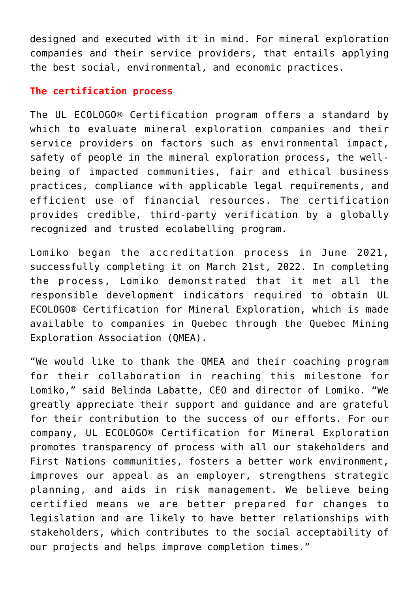designed and executed with it in mind. For mineral exploration companies and their service providers, that entails applying the best social, environmental, and economic practices.

#### **The certification process**

The UL ECOLOGO® Certification program offers a standard by which to evaluate mineral exploration companies and their service providers on factors such as environmental impact, safety of people in the mineral exploration process, the wellbeing of impacted communities, fair and ethical business practices, compliance with applicable legal requirements, and efficient use of financial resources. The certification provides credible, third-party verification by a globally recognized and trusted ecolabelling program.

Lomiko began the accreditation process in June 2021, successfully completing it on March 21st, 2022. In completing the process, Lomiko demonstrated that it met all the responsible development indicators required to obtain UL ECOLOGO® Certification for Mineral Exploration, which is made available to companies in Quebec through the Quebec Mining Exploration Association (QMEA).

"We would like to thank the QMEA and their coaching program for their collaboration in reaching this milestone for Lomiko," said Belinda Labatte, CEO and director of Lomiko. "We greatly appreciate their support and guidance and are grateful for their contribution to the success of our efforts. For our company, UL ECOLOGO® Certification for Mineral Exploration promotes transparency of process with all our stakeholders and First Nations communities, fosters a better work environment, improves our appeal as an employer, strengthens strategic planning, and aids in risk management. We believe being certified means we are better prepared for changes to legislation and are likely to have better relationships with stakeholders, which contributes to the social acceptability of our projects and helps improve completion times."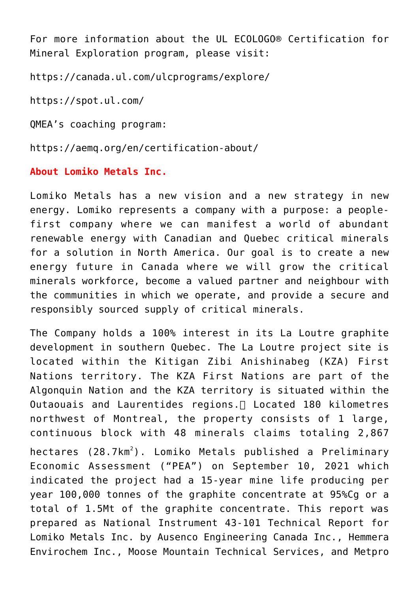For more information about the UL ECOLOGO® Certification for Mineral Exploration program, please visit:

[https://canada.ul.com/ulcprograms/explore/](https://cts.businesswire.com/ct/CT?id=smartlink&url=https%3A%2F%2Fcanada.ul.com%2Fulcprograms%2Fexplore%2F&esheet=52610451&newsitemid=20220322005767&lan=en-US&anchor=https%3A%2F%2Fcanada.ul.com%2Fulcprograms%2Fexplore%2F&index=1&md5=91007e47e0ab0a1a132779b835fa22ac)

[https://spot.ul.com/](https://cts.businesswire.com/ct/CT?id=smartlink&url=https%3A%2F%2Fspot.ul.com%2F&esheet=52610451&newsitemid=20220322005767&lan=en-US&anchor=https%3A%2F%2Fspot.ul.com%2F&index=2&md5=5cc950a702b7a39ce2bc600513162d8c)

QMEA's coaching program:

[https://aemq.org/en/certification-about/](https://cts.businesswire.com/ct/CT?id=smartlink&url=https%3A%2F%2Faemq.org%2Fen%2Fcertification-about%2F&esheet=52610451&newsitemid=20220322005767&lan=en-US&anchor=https%3A%2F%2Faemq.org%2Fen%2Fcertification-about%2F&index=3&md5=6a8902ee15046aa7f30dfa5878fbebb6)

### **About Lomiko Metals Inc.**

Lomiko Metals has a new vision and a new strategy in new energy. Lomiko represents a company with a purpose: a peoplefirst company where we can manifest a world of abundant renewable energy with Canadian and Quebec critical minerals for a solution in North America. Our goal is to create a new energy future in Canada where we will grow the critical minerals workforce, become a valued partner and neighbour with the communities in which we operate, and provide a secure and responsibly sourced supply of critical minerals.

The Company holds a 100% interest in its La Loutre graphite development in southern Quebec. The La Loutre project site is located within the Kitigan Zibi Anishinabeg (KZA) First Nations territory. The KZA First Nations are part of the Algonquin Nation and the KZA territory is situated within the Outaouais and Laurentides regions.  $\Box$  Located 180 kilometres northwest of Montreal, the property consists of 1 large, continuous block with 48 minerals claims totaling 2,867

hectares (28.7km<sup>2</sup>). Lomiko Metals published a [Preliminary](https://cts.businesswire.com/ct/CT?id=smartlink&url=https%3A%2F%2Fna01.safelinks.protection.outlook.com%2F%3Furl%3Dhttps%253A%252F%252Flomiko.com%252Fwp-content%252Fuploads%252F2021%252F09%252FPEA-La-Loutre-2021-09-10.pdf%26data%3D04%257C01%257C%257C1db76b3358224b7bd34508d9bfd8155c%257C84df9e7fe9f640afb435aaaaaaaaaaaa%257C1%257C0%257C637751757078467604%257CUnknown%257CTWFpbGZsb3d8eyJWIjoiMC4wLjAwMDAiLCJQIjoiV2luMzIiLCJBTiI6Ik1haWwiLCJXVCI6Mn0%253D%257C3000%26sdata%3D3DvW1At0cUJlfwE2awinozlxa1BLnQ4mPvCOcJ6aJOo%253D%26reserved%3D0&esheet=52610451&newsitemid=20220322005767&lan=en-US&anchor=Preliminary+Economic+Assessment+%28%26%238220%3BPEA%26%238221%3B%29+on+September+10%2C+2021&index=4&md5=927e6b33890e422780331840ad50674f) [Economic Assessment \("PEA"\) on September 10, 2021](https://cts.businesswire.com/ct/CT?id=smartlink&url=https%3A%2F%2Fna01.safelinks.protection.outlook.com%2F%3Furl%3Dhttps%253A%252F%252Flomiko.com%252Fwp-content%252Fuploads%252F2021%252F09%252FPEA-La-Loutre-2021-09-10.pdf%26data%3D04%257C01%257C%257C1db76b3358224b7bd34508d9bfd8155c%257C84df9e7fe9f640afb435aaaaaaaaaaaa%257C1%257C0%257C637751757078467604%257CUnknown%257CTWFpbGZsb3d8eyJWIjoiMC4wLjAwMDAiLCJQIjoiV2luMzIiLCJBTiI6Ik1haWwiLCJXVCI6Mn0%253D%257C3000%26sdata%3D3DvW1At0cUJlfwE2awinozlxa1BLnQ4mPvCOcJ6aJOo%253D%26reserved%3D0&esheet=52610451&newsitemid=20220322005767&lan=en-US&anchor=Preliminary+Economic+Assessment+%28%26%238220%3BPEA%26%238221%3B%29+on+September+10%2C+2021&index=4&md5=927e6b33890e422780331840ad50674f) which indicated the project had a 15-year mine life producing per year 100,000 tonnes of the graphite concentrate at 95%Cg or a total of 1.5Mt of the graphite concentrate. This report was prepared as National Instrument 43-101 Technical Report for Lomiko Metals Inc. by Ausenco Engineering Canada Inc., Hemmera Envirochem Inc., Moose Mountain Technical Services, and Metpro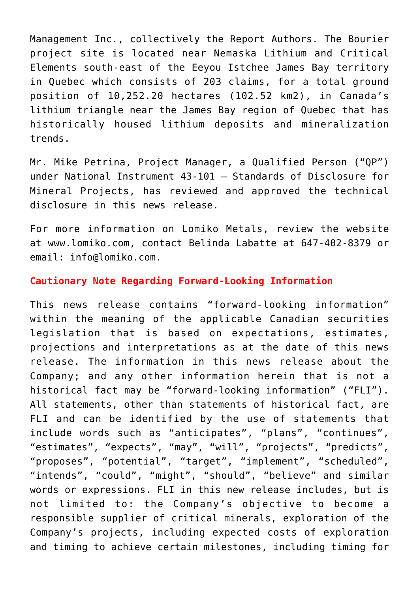Management Inc., collectively the Report Authors. The Bourier project site is located near Nemaska Lithium and Critical Elements south-east of the Eeyou Istchee James Bay territory in Quebec which consists of 203 claims, for a total ground position of 10,252.20 hectares (102.52 km2), in Canada's lithium triangle near the James Bay region of Quebec that has historically housed lithium deposits and mineralization trends.

Mr. Mike Petrina, Project Manager, a Qualified Person ("QP") under National Instrument 43-101 – Standards of Disclosure for Mineral Projects, has reviewed and approved the technical disclosure in this news release.

For more information on Lomiko Metals, review the website at [www.lomiko.com](https://cts.businesswire.com/ct/CT?id=smartlink&url=http%3A%2F%2Fwww.lomiko.com&esheet=52610451&newsitemid=20220322005767&lan=en-US&anchor=www.lomiko.com&index=5&md5=71e0aba3ec4d2f7b9f1b0e9c18852711), contact Belinda Labatte at 647-402-8379 or email: [info@lomiko.com](mailto:info@lomiko.com).

#### **Cautionary Note Regarding Forward-Looking Information**

This news release contains "forward-looking information" within the meaning of the applicable Canadian securities legislation that is based on expectations, estimates, projections and interpretations as at the date of this news release. The information in this news release about the Company; and any other information herein that is not a historical fact may be "forward-looking information" ("FLI"). All statements, other than statements of historical fact, are FLI and can be identified by the use of statements that include words such as "anticipates", "plans", "continues", "estimates", "expects", "may", "will", "projects", "predicts", "proposes", "potential", "target", "implement", "scheduled", "intends", "could", "might", "should", "believe" and similar words or expressions. FLI in this new release includes, but is not limited to: the Company's objective to become a responsible supplier of critical minerals, exploration of the Company's projects, including expected costs of exploration and timing to achieve certain milestones, including timing for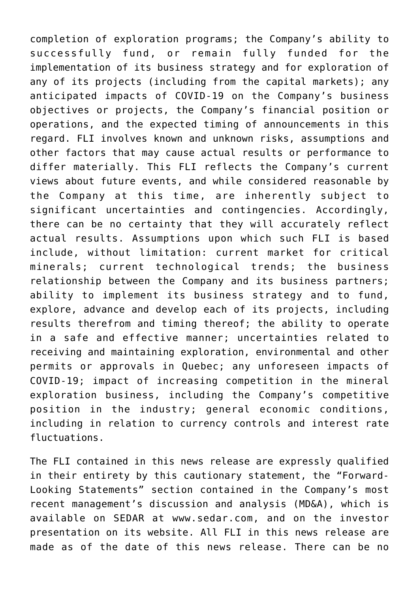completion of exploration programs; the Company's ability to successfully fund, or remain fully funded for the implementation of its business strategy and for exploration of any of its projects (including from the capital markets); any anticipated impacts of COVID-19 on the Company's business objectives or projects, the Company's financial position or operations, and the expected timing of announcements in this regard. FLI involves known and unknown risks, assumptions and other factors that may cause actual results or performance to differ materially. This FLI reflects the Company's current views about future events, and while considered reasonable by the Company at this time, are inherently subject to significant uncertainties and contingencies. Accordingly, there can be no certainty that they will accurately reflect actual results. Assumptions upon which such FLI is based include, without limitation: current market for critical minerals; current technological trends; the business relationship between the Company and its business partners; ability to implement its business strategy and to fund, explore, advance and develop each of its projects, including results therefrom and timing thereof; the ability to operate in a safe and effective manner; uncertainties related to receiving and maintaining exploration, environmental and other permits or approvals in Quebec; any unforeseen impacts of COVID-19; impact of increasing competition in the mineral exploration business, including the Company's competitive position in the industry; general economic conditions, including in relation to currency controls and interest rate fluctuations.

The FLI contained in this news release are expressly qualified in their entirety by this cautionary statement, the "Forward-Looking Statements" section contained in the Company's most recent management's discussion and analysis (MD&A), which is available on SEDAR at [www.sedar.com,](https://cts.businesswire.com/ct/CT?id=smartlink&url=http%3A%2F%2Fwww.sedar.com&esheet=52610451&newsitemid=20220322005767&lan=en-US&anchor=www.sedar.com&index=6&md5=03485245c8369567728fe4994637e62a) and on the investor presentation on its website. All FLI in this news release are made as of the date of this news release. There can be no